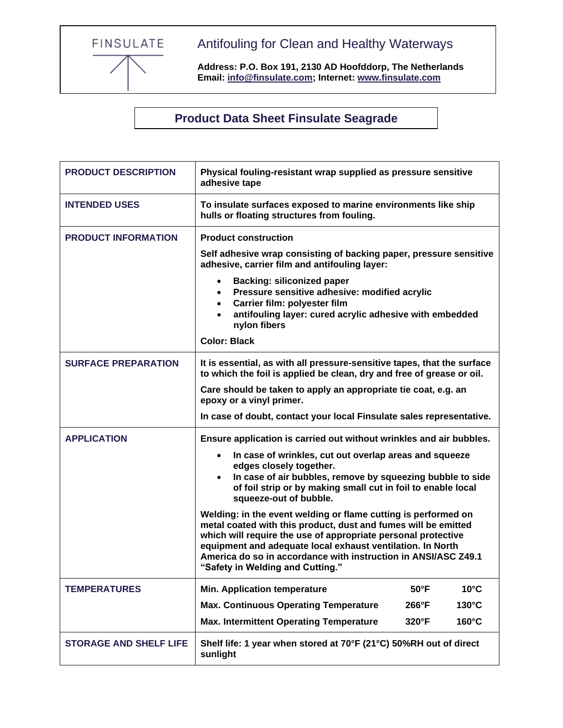FINSULATE

Antifouling for Clean and Healthy Waterways

**Address: P.O. Box 191, 2130 AD Hoofddorp, The Netherlands Email: [info@finsulate.com;](mailto:info@finsulate.com) Internet: [www.finsulate.com](http://www.finsulate.com/)**

**Product Data Sheet Finsulate Seagrade**

| <b>PRODUCT DESCRIPTION</b>    | Physical fouling-resistant wrap supplied as pressure sensitive<br>adhesive tape                                                                                                                                                                                                                                                                                       |
|-------------------------------|-----------------------------------------------------------------------------------------------------------------------------------------------------------------------------------------------------------------------------------------------------------------------------------------------------------------------------------------------------------------------|
| <b>INTENDED USES</b>          | To insulate surfaces exposed to marine environments like ship<br>hulls or floating structures from fouling.                                                                                                                                                                                                                                                           |
| <b>PRODUCT INFORMATION</b>    | <b>Product construction</b>                                                                                                                                                                                                                                                                                                                                           |
|                               | Self adhesive wrap consisting of backing paper, pressure sensitive<br>adhesive, carrier film and antifouling layer:                                                                                                                                                                                                                                                   |
|                               | <b>Backing: siliconized paper</b><br>Pressure sensitive adhesive: modified acrylic<br>$\bullet$<br>Carrier film: polyester film<br>$\bullet$<br>antifouling layer: cured acrylic adhesive with embedded<br>$\bullet$<br>nylon fibers                                                                                                                                  |
|                               | <b>Color: Black</b>                                                                                                                                                                                                                                                                                                                                                   |
| <b>SURFACE PREPARATION</b>    | It is essential, as with all pressure-sensitive tapes, that the surface<br>to which the foil is applied be clean, dry and free of grease or oil.                                                                                                                                                                                                                      |
|                               | Care should be taken to apply an appropriate tie coat, e.g. an<br>epoxy or a vinyl primer.                                                                                                                                                                                                                                                                            |
|                               | In case of doubt, contact your local Finsulate sales representative.                                                                                                                                                                                                                                                                                                  |
| <b>APPLICATION</b>            | Ensure application is carried out without wrinkles and air bubbles.                                                                                                                                                                                                                                                                                                   |
|                               | In case of wrinkles, cut out overlap areas and squeeze<br>$\bullet$                                                                                                                                                                                                                                                                                                   |
|                               | edges closely together.<br>In case of air bubbles, remove by squeezing bubble to side<br>$\bullet$<br>of foil strip or by making small cut in foil to enable local<br>squeeze-out of bubble.                                                                                                                                                                          |
|                               | Welding: in the event welding or flame cutting is performed on<br>metal coated with this product, dust and fumes will be emitted<br>which will require the use of appropriate personal protective<br>equipment and adequate local exhaust ventilation. In North<br>America do so in accordance with instruction in ANSI/ASC Z49.1<br>"Safety in Welding and Cutting." |
| <b>TEMPERATURES</b>           | $10^{\circ}$ C<br><b>Min. Application temperature</b><br>$50^{\circ}$ F                                                                                                                                                                                                                                                                                               |
|                               | <b>Max. Continuous Operating Temperature</b><br>$130^{\circ}$ C<br>266°F                                                                                                                                                                                                                                                                                              |
|                               | 160°C<br><b>Max. Intermittent Operating Temperature</b><br>$320^\circ F$                                                                                                                                                                                                                                                                                              |
| <b>STORAGE AND SHELF LIFE</b> | Shelf life: 1 year when stored at 70°F (21°C) 50%RH out of direct<br>sunlight                                                                                                                                                                                                                                                                                         |